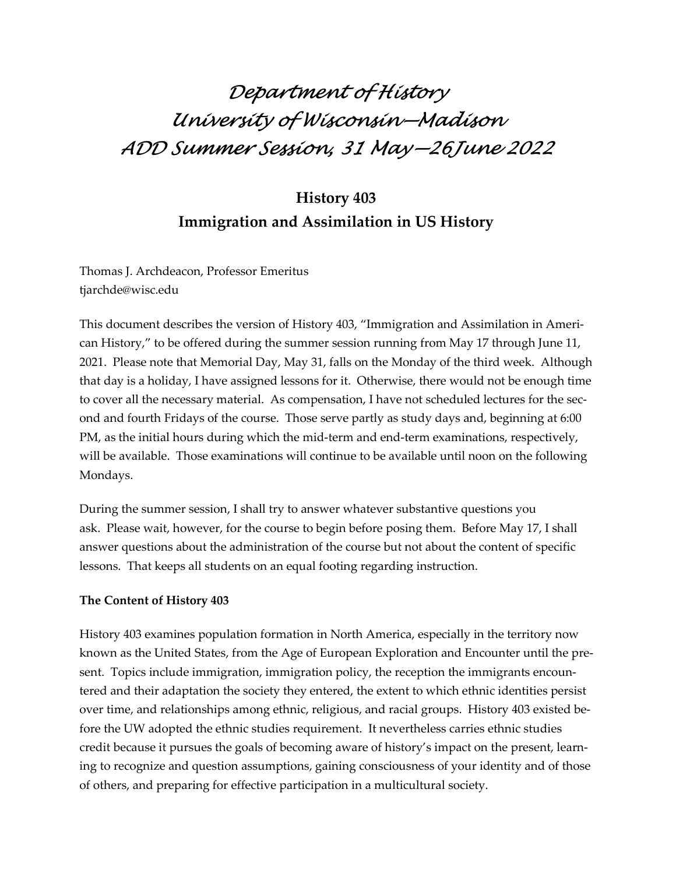# Department of History University of Wisconsin—Madison ADD Summer Session, 31 May—26June 2022

# History 403 Immigration and Assimilation in US History

Thomas J. Archdeacon, Professor Emeritus tjarchde@wisc.edu

This document describes the version of History 403, "Immigration and Assimilation in American History," to be offered during the summer session running from May 17 through June 11, 2021. Please note that Memorial Day, May 31, falls on the Monday of the third week. Although that day is a holiday, I have assigned lessons for it. Otherwise, there would not be enough time to cover all the necessary material. As compensation, I have not scheduled lectures for the second and fourth Fridays of the course. Those serve partly as study days and, beginning at 6:00 PM, as the initial hours during which the mid-term and end-term examinations, respectively, will be available. Those examinations will continue to be available until noon on the following Mondays.

During the summer session, I shall try to answer whatever substantive questions you ask. Please wait, however, for the course to begin before posing them. Before May 17, I shall answer questions about the administration of the course but not about the content of specific lessons. That keeps all students on an equal footing regarding instruction.

# The Content of History 403

History 403 examines population formation in North America, especially in the territory now known as the United States, from the Age of European Exploration and Encounter until the present. Topics include immigration, immigration policy, the reception the immigrants encountered and their adaptation the society they entered, the extent to which ethnic identities persist over time, and relationships among ethnic, religious, and racial groups. History 403 existed before the UW adopted the ethnic studies requirement. It nevertheless carries ethnic studies credit because it pursues the goals of becoming aware of history's impact on the present, learning to recognize and question assumptions, gaining consciousness of your identity and of those of others, and preparing for effective participation in a multicultural society.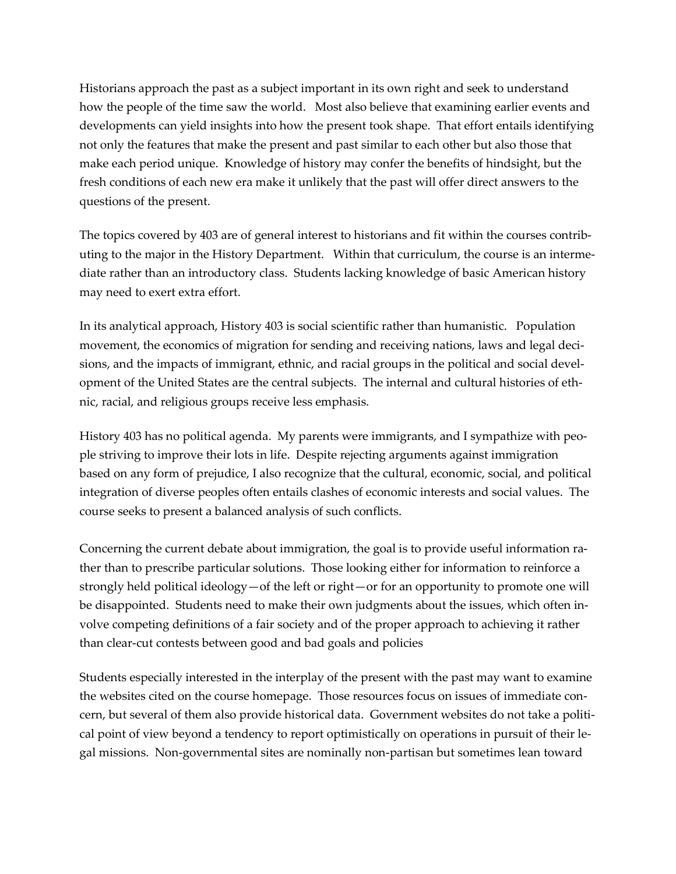Historians approach the past as a subject important in its own right and seek to understand how the people of the time saw the world. Most also believe that examining earlier events and developments can yield insights into how the present took shape. That effort entails identifying not only the features that make the present and past similar to each other but also those that make each period unique. Knowledge of history may confer the benefits of hindsight, but the fresh conditions of each new era make it unlikely that the past will offer direct answers to the questions of the present.

The topics covered by 403 are of general interest to historians and fit within the courses contributing to the major in the History Department. Within that curriculum, the course is an intermediate rather than an introductory class. Students lacking knowledge of basic American history may need to exert extra effort.

In its analytical approach, History 403 is social scientific rather than humanistic. Population movement, the economics of migration for sending and receiving nations, laws and legal decisions, and the impacts of immigrant, ethnic, and racial groups in the political and social development of the United States are the central subjects. The internal and cultural histories of ethnic, racial, and religious groups receive less emphasis.

History 403 has no political agenda. My parents were immigrants, and I sympathize with people striving to improve their lots in life. Despite rejecting arguments against immigration based on any form of prejudice, I also recognize that the cultural, economic, social, and political integration of diverse peoples often entails clashes of economic interests and social values. The course seeks to present a balanced analysis of such conflicts.

Concerning the current debate about immigration, the goal is to provide useful information rather than to prescribe particular solutions. Those looking either for information to reinforce a strongly held political ideology—of the left or right—or for an opportunity to promote one will be disappointed. Students need to make their own judgments about the issues, which often involve competing definitions of a fair society and of the proper approach to achieving it rather than clear-cut contests between good and bad goals and policies

Students especially interested in the interplay of the present with the past may want to examine the websites cited on the course homepage. Those resources focus on issues of immediate concern, but several of them also provide historical data. Government websites do not take a political point of view beyond a tendency to report optimistically on operations in pursuit of their legal missions. Non-governmental sites are nominally non-partisan but sometimes lean toward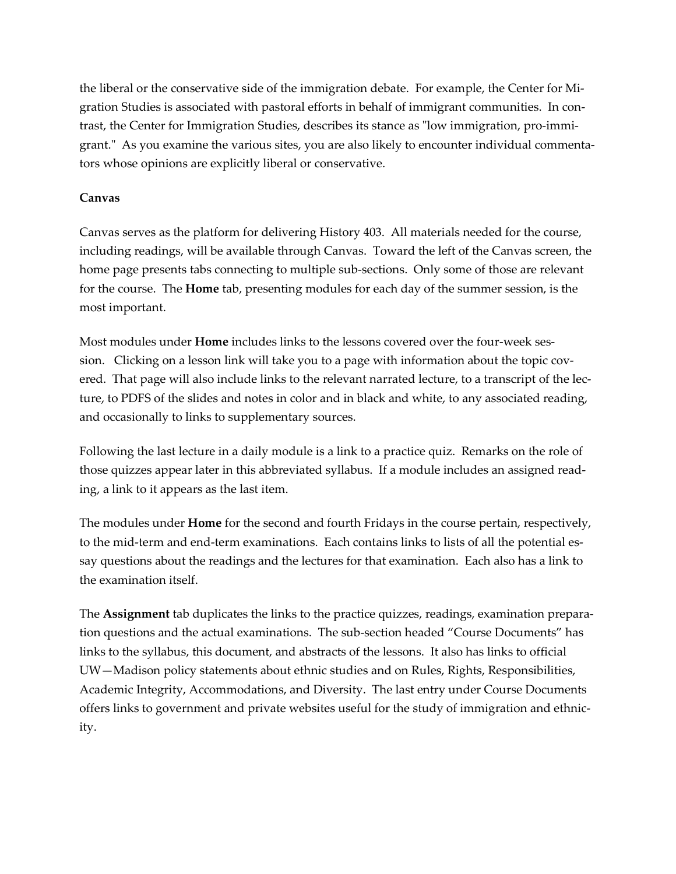the liberal or the conservative side of the immigration debate. For example, the Center for Migration Studies is associated with pastoral efforts in behalf of immigrant communities. In contrast, the Center for Immigration Studies, describes its stance as "low immigration, pro-immigrant." As you examine the various sites, you are also likely to encounter individual commentators whose opinions are explicitly liberal or conservative.

## Canvas

Canvas serves as the platform for delivering History 403. All materials needed for the course, including readings, will be available through Canvas. Toward the left of the Canvas screen, the home page presents tabs connecting to multiple sub-sections. Only some of those are relevant for the course. The **Home** tab, presenting modules for each day of the summer session, is the most important.

Most modules under Home includes links to the lessons covered over the four-week session. Clicking on a lesson link will take you to a page with information about the topic covered. That page will also include links to the relevant narrated lecture, to a transcript of the lecture, to PDFS of the slides and notes in color and in black and white, to any associated reading, and occasionally to links to supplementary sources.

Following the last lecture in a daily module is a link to a practice quiz. Remarks on the role of those quizzes appear later in this abbreviated syllabus. If a module includes an assigned reading, a link to it appears as the last item.

The modules under **Home** for the second and fourth Fridays in the course pertain, respectively, to the mid-term and end-term examinations. Each contains links to lists of all the potential essay questions about the readings and the lectures for that examination. Each also has a link to the examination itself.

The Assignment tab duplicates the links to the practice quizzes, readings, examination preparation questions and the actual examinations. The sub-section headed "Course Documents" has links to the syllabus, this document, and abstracts of the lessons. It also has links to official UW—Madison policy statements about ethnic studies and on Rules, Rights, Responsibilities, Academic Integrity, Accommodations, and Diversity. The last entry under Course Documents offers links to government and private websites useful for the study of immigration and ethnicity.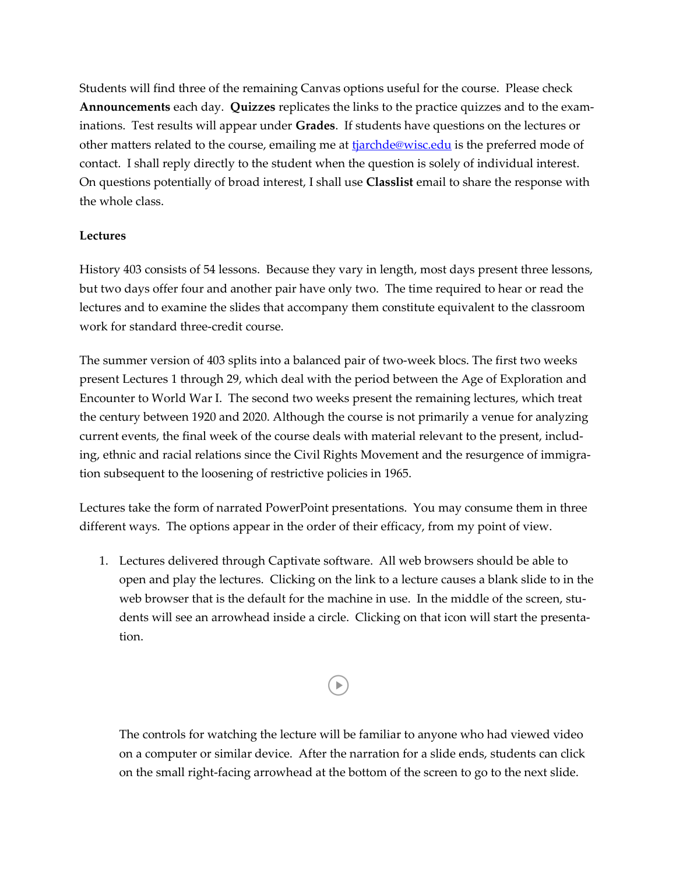Students will find three of the remaining Canvas options useful for the course. Please check Announcements each day. Quizzes replicates the links to the practice quizzes and to the examinations. Test results will appear under Grades. If students have questions on the lectures or other matters related to the course, emailing me at tiarchde@wisc.edu is the preferred mode of contact. I shall reply directly to the student when the question is solely of individual interest. On questions potentially of broad interest, I shall use Classlist email to share the response with the whole class.

# Lectures

History 403 consists of 54 lessons. Because they vary in length, most days present three lessons, but two days offer four and another pair have only two. The time required to hear or read the lectures and to examine the slides that accompany them constitute equivalent to the classroom work for standard three-credit course.

The summer version of 403 splits into a balanced pair of two-week blocs. The first two weeks present Lectures 1 through 29, which deal with the period between the Age of Exploration and Encounter to World War I. The second two weeks present the remaining lectures, which treat the century between 1920 and 2020. Although the course is not primarily a venue for analyzing current events, the final week of the course deals with material relevant to the present, including, ethnic and racial relations since the Civil Rights Movement and the resurgence of immigration subsequent to the loosening of restrictive policies in 1965.

Lectures take the form of narrated PowerPoint presentations. You may consume them in three different ways. The options appear in the order of their efficacy, from my point of view.

1. Lectures delivered through Captivate software. All web browsers should be able to open and play the lectures. Clicking on the link to a lecture causes a blank slide to in the web browser that is the default for the machine in use. In the middle of the screen, students will see an arrowhead inside a circle. Clicking on that icon will start the presentation.

# $\blacktriangleright$

The controls for watching the lecture will be familiar to anyone who had viewed video on a computer or similar device. After the narration for a slide ends, students can click on the small right-facing arrowhead at the bottom of the screen to go to the next slide.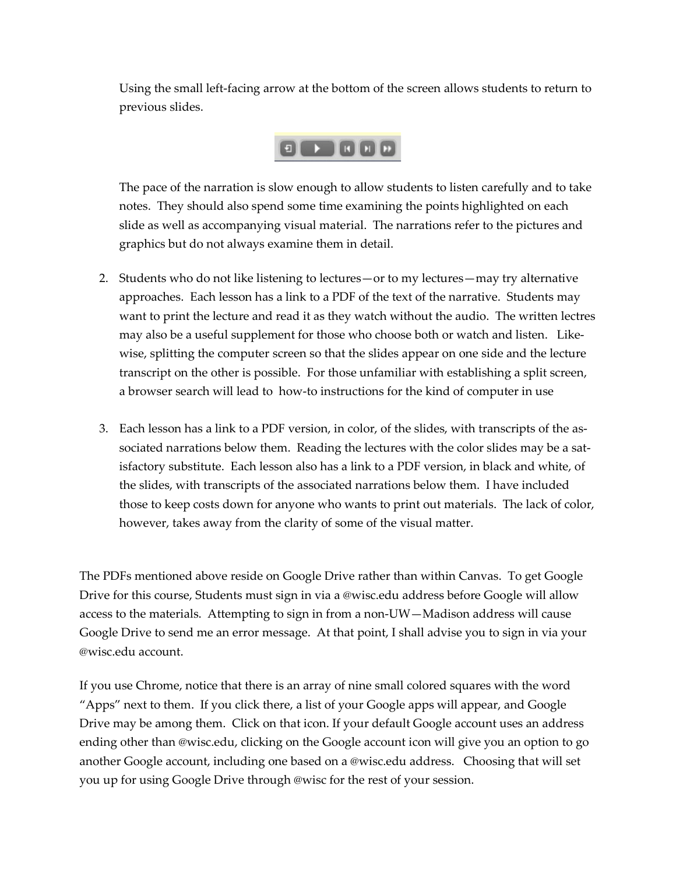Using the small left-facing arrow at the bottom of the screen allows students to return to previous slides.

# $\begin{array}{c} \circ \bullet \\ \circ \bullet \end{array} \begin{array}{c} \circ \bullet \\ \circ \bullet \end{array}$

The pace of the narration is slow enough to allow students to listen carefully and to take notes. They should also spend some time examining the points highlighted on each slide as well as accompanying visual material. The narrations refer to the pictures and graphics but do not always examine them in detail.

- 2. Students who do not like listening to lectures—or to my lectures—may try alternative approaches. Each lesson has a link to a PDF of the text of the narrative. Students may want to print the lecture and read it as they watch without the audio. The written lectres may also be a useful supplement for those who choose both or watch and listen. Likewise, splitting the computer screen so that the slides appear on one side and the lecture transcript on the other is possible. For those unfamiliar with establishing a split screen, a browser search will lead to how-to instructions for the kind of computer in use
- 3. Each lesson has a link to a PDF version, in color, of the slides, with transcripts of the associated narrations below them. Reading the lectures with the color slides may be a satisfactory substitute. Each lesson also has a link to a PDF version, in black and white, of the slides, with transcripts of the associated narrations below them. I have included those to keep costs down for anyone who wants to print out materials. The lack of color, however, takes away from the clarity of some of the visual matter.

The PDFs mentioned above reside on Google Drive rather than within Canvas. To get Google Drive for this course, Students must sign in via a @wisc.edu address before Google will allow access to the materials. Attempting to sign in from a non-UW—Madison address will cause Google Drive to send me an error message. At that point, I shall advise you to sign in via your @wisc.edu account.

If you use Chrome, notice that there is an array of nine small colored squares with the word "Apps" next to them. If you click there, a list of your Google apps will appear, and Google Drive may be among them. Click on that icon. If your default Google account uses an address ending other than @wisc.edu, clicking on the Google account icon will give you an option to go another Google account, including one based on a @wisc.edu address. Choosing that will set you up for using Google Drive through @wisc for the rest of your session.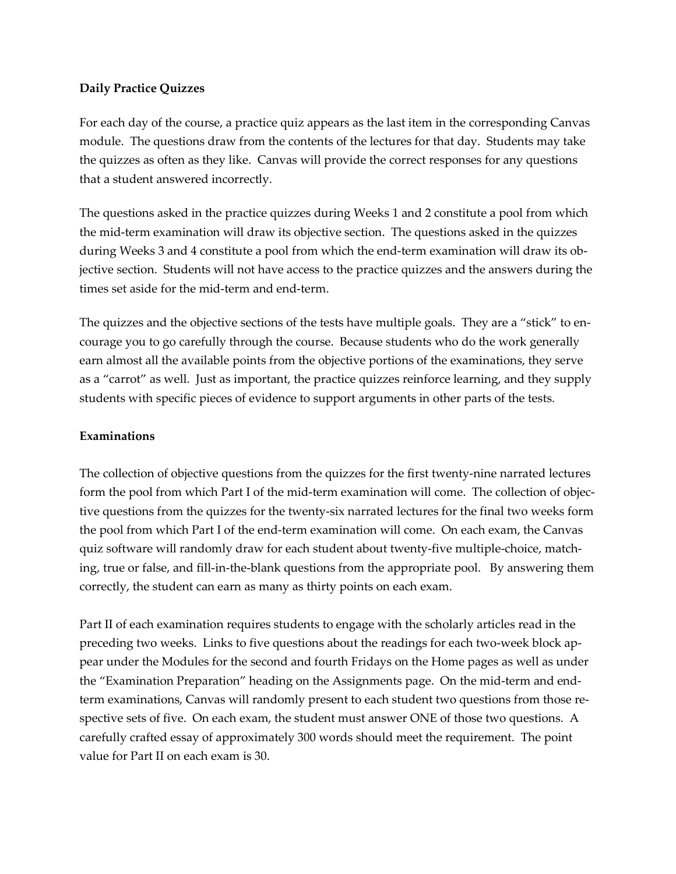# Daily Practice Quizzes

For each day of the course, a practice quiz appears as the last item in the corresponding Canvas module. The questions draw from the contents of the lectures for that day. Students may take the quizzes as often as they like. Canvas will provide the correct responses for any questions that a student answered incorrectly.

The questions asked in the practice quizzes during Weeks 1 and 2 constitute a pool from which the mid-term examination will draw its objective section. The questions asked in the quizzes during Weeks 3 and 4 constitute a pool from which the end-term examination will draw its objective section. Students will not have access to the practice quizzes and the answers during the times set aside for the mid-term and end-term.

The quizzes and the objective sections of the tests have multiple goals. They are a "stick" to encourage you to go carefully through the course. Because students who do the work generally earn almost all the available points from the objective portions of the examinations, they serve as a "carrot" as well. Just as important, the practice quizzes reinforce learning, and they supply students with specific pieces of evidence to support arguments in other parts of the tests.

# Examinations

The collection of objective questions from the quizzes for the first twenty-nine narrated lectures form the pool from which Part I of the mid-term examination will come. The collection of objective questions from the quizzes for the twenty-six narrated lectures for the final two weeks form the pool from which Part I of the end-term examination will come. On each exam, the Canvas quiz software will randomly draw for each student about twenty-five multiple-choice, matching, true or false, and fill-in-the-blank questions from the appropriate pool. By answering them correctly, the student can earn as many as thirty points on each exam.

Part II of each examination requires students to engage with the scholarly articles read in the preceding two weeks. Links to five questions about the readings for each two-week block appear under the Modules for the second and fourth Fridays on the Home pages as well as under the "Examination Preparation" heading on the Assignments page. On the mid-term and endterm examinations, Canvas will randomly present to each student two questions from those respective sets of five. On each exam, the student must answer ONE of those two questions. A carefully crafted essay of approximately 300 words should meet the requirement. The point value for Part II on each exam is 30.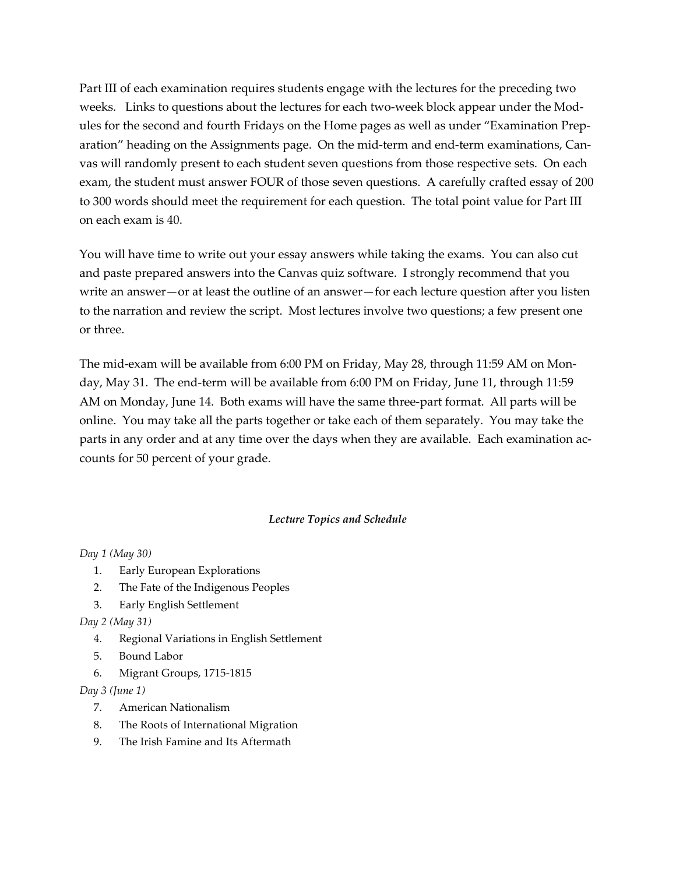Part III of each examination requires students engage with the lectures for the preceding two weeks. Links to questions about the lectures for each two-week block appear under the Modules for the second and fourth Fridays on the Home pages as well as under "Examination Preparation" heading on the Assignments page. On the mid-term and end-term examinations, Canvas will randomly present to each student seven questions from those respective sets. On each exam, the student must answer FOUR of those seven questions. A carefully crafted essay of 200 to 300 words should meet the requirement for each question. The total point value for Part III on each exam is 40.

You will have time to write out your essay answers while taking the exams. You can also cut and paste prepared answers into the Canvas quiz software. I strongly recommend that you write an answer—or at least the outline of an answer—for each lecture question after you listen to the narration and review the script. Most lectures involve two questions; a few present one or three.

The mid-exam will be available from 6:00 PM on Friday, May 28, through 11:59 AM on Monday, May 31. The end-term will be available from 6:00 PM on Friday, June 11, through 11:59 AM on Monday, June 14. Both exams will have the same three-part format. All parts will be online. You may take all the parts together or take each of them separately. You may take the parts in any order and at any time over the days when they are available. Each examination accounts for 50 percent of your grade.

#### Lecture Topics and Schedule

#### Day 1 (May 30)

- 1. Early European Explorations
- 2. The Fate of the Indigenous Peoples
- 3. Early English Settlement

#### Day 2 (May 31)

- 4. Regional Variations in English Settlement
- 5. Bound Labor
- 6. Migrant Groups, 1715-1815

#### Day 3 (June 1)

- 7. American Nationalism
- 8. The Roots of International Migration
- 9. The Irish Famine and Its Aftermath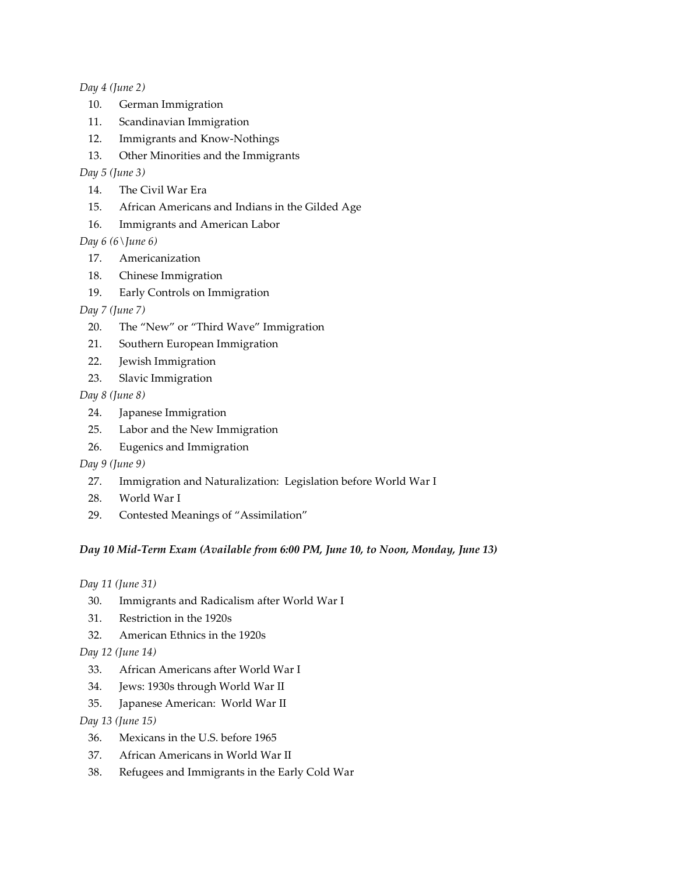#### Day 4 (June 2)

- 10. German Immigration
- 11. Scandinavian Immigration
- 12. Immigrants and Know-Nothings
- 13. Other Minorities and the Immigrants

#### Day 5 (June 3)

- 14. The Civil War Era
- 15. African Americans and Indians in the Gilded Age
- 16. Immigrants and American Labor

## Day 6 (6 $\lceil$ une 6)

- 17. Americanization
- 18. Chinese Immigration
- 19. Early Controls on Immigration

## Day 7 (June 7)

- 20. The "New" or "Third Wave" Immigration
- 21. Southern European Immigration
- 22. Jewish Immigration
- 23. Slavic Immigration

## Day 8 (June 8)

- 24. Japanese Immigration
- 25. Labor and the New Immigration
- 26. Eugenics and Immigration

#### Day 9 (June 9)

- 27. Immigration and Naturalization: Legislation before World War I
- 28. World War I
- 29. Contested Meanings of "Assimilation"

# Day 10 Mid-Term Exam (Available from 6:00 PM, June 10, to Noon, Monday, June 13)

Day 11 (June 31)

- 30. Immigrants and Radicalism after World War I
- 31. Restriction in the 1920s
- 32. American Ethnics in the 1920s
- Day 12 (June 14)
	- 33. African Americans after World War I
	- 34. Jews: 1930s through World War II
	- 35. Japanese American: World War II

#### Day 13 (June 15)

- 36. Mexicans in the U.S. before 1965
- 37. African Americans in World War II
- 38. Refugees and Immigrants in the Early Cold War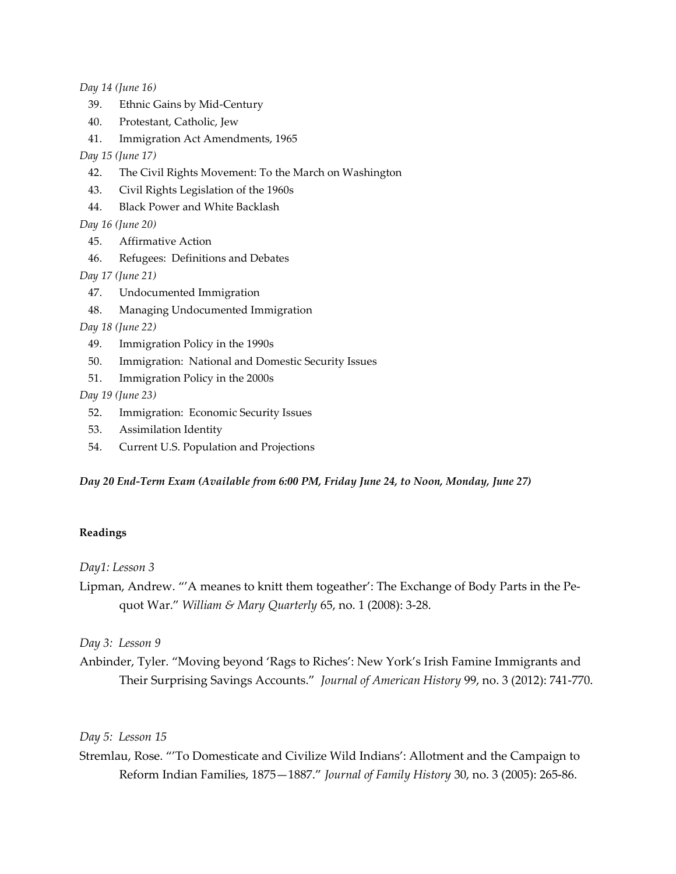Day 14 (June 16)

- 39. Ethnic Gains by Mid-Century
- 40. Protestant, Catholic, Jew
- 41. Immigration Act Amendments, 1965

#### Day 15 (June 17)

- 42. The Civil Rights Movement: To the March on Washington
- 43. Civil Rights Legislation of the 1960s
- 44. Black Power and White Backlash

Day 16 (June 20)

- 45. Affirmative Action
- 46. Refugees: Definitions and Debates

Day 17 (June 21)

- 47. Undocumented Immigration
- 48. Managing Undocumented Immigration

Day 18 (June 22)

- 49. Immigration Policy in the 1990s
- 50. Immigration: National and Domestic Security Issues
- 51. Immigration Policy in the 2000s

Day 19 (June 23)

- 52. Immigration: Economic Security Issues
- 53. Assimilation Identity
- 54. Current U.S. Population and Projections

Day 20 End-Term Exam (Available from 6:00 PM, Friday June 24, to Noon, Monday, June 27)

#### Readings

Day1: Lesson 3

Lipman, Andrew. "'A meanes to knitt them togeather': The Exchange of Body Parts in the Pequot War." William & Mary Quarterly 65, no. 1 (2008): 3-28.

Day 3: Lesson 9

Anbinder, Tyler. "Moving beyond 'Rags to Riches': New York's Irish Famine Immigrants and Their Surprising Savings Accounts." Journal of American History 99, no. 3 (2012): 741-770.

Day 5: Lesson 15

Stremlau, Rose. "'To Domesticate and Civilize Wild Indians': Allotment and the Campaign to Reform Indian Families, 1875—1887." Journal of Family History 30, no. 3 (2005): 265-86.